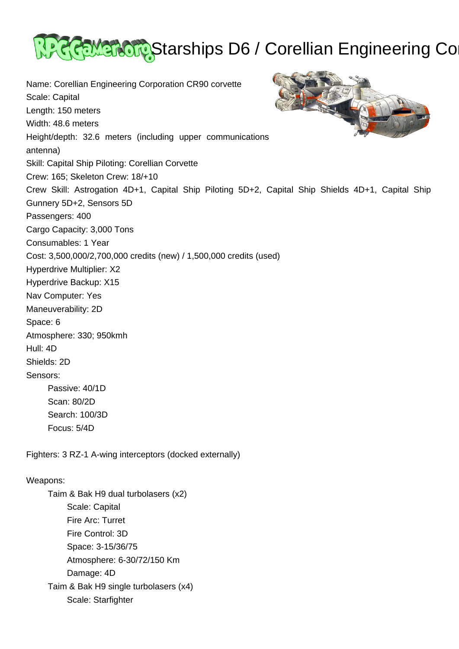

Name: Corellian Engineering Corporation CR90 corvette Scale: Capital Length: 150 meters Width: 48.6 meters Height/depth: 32.6 meters (including upper communications antenna) Skill: Capital Ship Piloting: Corellian Corvette Crew: 165; Skeleton Crew: 18/+10 Crew Skill: Astrogation 4D+1, Capital Ship Piloting 5D+2, Capital Ship Shields 4D+1, Capital Ship Gunnery 5D+2, Sensors 5D Passengers: 400 Cargo Capacity: 3,000 Tons Consumables: 1 Year Cost: 3,500,000/2,700,000 credits (new) / 1,500,000 credits (used) Hyperdrive Multiplier: X2 Hyperdrive Backup: X15 Nav Computer: Yes Maneuverability: 2D Space: 6 Atmosphere: 330; 950kmh Hull: 4D Shields: 2D Sensors: Passive: 40/1D Scan: 80/2D Search: 100/3D Focus: 5/4D

Fighters: 3 RZ-1 A-wing interceptors (docked externally)

## Weapons:

 Taim & Bak H9 dual turbolasers (x2) Scale: Capital Fire Arc: Turret Fire Control: 3D Space: 3-15/36/75 Atmosphere: 6-30/72/150 Km Damage: 4D Taim & Bak H9 single turbolasers (x4) Scale: Starfighter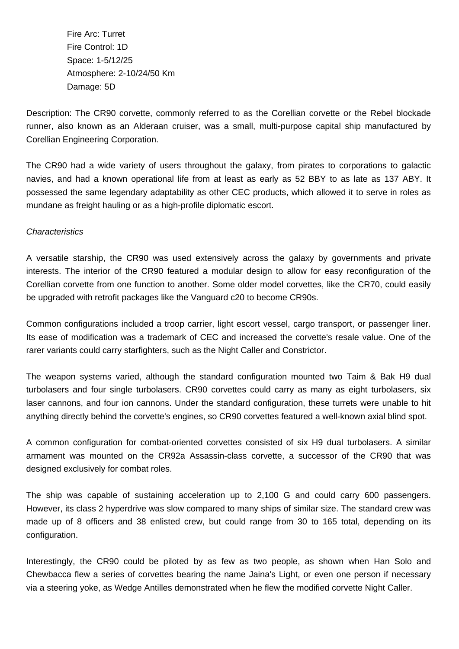Fire Arc: Turret Fire Control: 1D Space: 1-5/12/25 Atmosphere: 2-10/24/50 Km Damage: 5D

Description: The CR90 corvette, commonly referred to as the Corellian corvette or the Rebel blockade runner, also known as an Alderaan cruiser, was a small, multi-purpose capital ship manufactured by Corellian Engineering Corporation.

The CR90 had a wide variety of users throughout the galaxy, from pirates to corporations to galactic navies, and had a known operational life from at least as early as 52 BBY to as late as 137 ABY. It possessed the same legendary adaptability as other CEC products, which allowed it to serve in roles as mundane as freight hauling or as a high-profile diplomatic escort.

## **Characteristics**

A versatile starship, the CR90 was used extensively across the galaxy by governments and private interests. The interior of the CR90 featured a modular design to allow for easy reconfiguration of the Corellian corvette from one function to another. Some older model corvettes, like the CR70, could easily be upgraded with retrofit packages like the Vanguard c20 to become CR90s.

Common configurations included a troop carrier, light escort vessel, cargo transport, or passenger liner. Its ease of modification was a trademark of CEC and increased the corvette's resale value. One of the rarer variants could carry starfighters, such as the Night Caller and Constrictor.

The weapon systems varied, although the standard configuration mounted two Taim & Bak H9 dual turbolasers and four single turbolasers. CR90 corvettes could carry as many as eight turbolasers, six laser cannons, and four ion cannons. Under the standard configuration, these turrets were unable to hit anything directly behind the corvette's engines, so CR90 corvettes featured a well-known axial blind spot.

A common configuration for combat-oriented corvettes consisted of six H9 dual turbolasers. A similar armament was mounted on the CR92a Assassin-class corvette, a successor of the CR90 that was designed exclusively for combat roles.

The ship was capable of sustaining acceleration up to 2,100 G and could carry 600 passengers. However, its class 2 hyperdrive was slow compared to many ships of similar size. The standard crew was made up of 8 officers and 38 enlisted crew, but could range from 30 to 165 total, depending on its configuration.

Interestingly, the CR90 could be piloted by as few as two people, as shown when Han Solo and Chewbacca flew a series of corvettes bearing the name Jaina's Light, or even one person if necessary via a steering yoke, as Wedge Antilles demonstrated when he flew the modified corvette Night Caller.